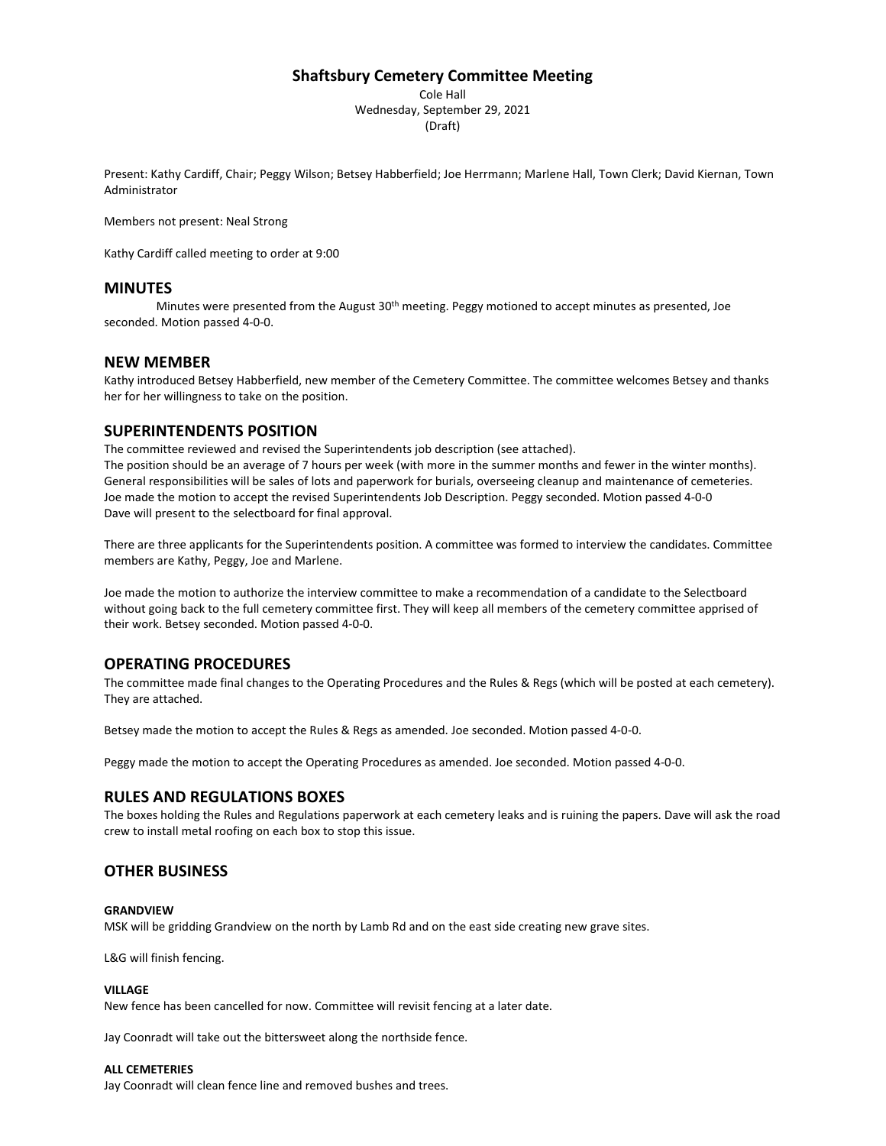## **Shaftsbury Cemetery Committee Meeting**

Cole Hall Wednesday, September 29, 2021 (Draft)

Present: Kathy Cardiff, Chair; Peggy Wilson; Betsey Habberfield; Joe Herrmann; Marlene Hall, Town Clerk; David Kiernan, Town Administrator

Members not present: Neal Strong

Kathy Cardiff called meeting to order at 9:00

## **MINUTES**

Minutes were presented from the August 30<sup>th</sup> meeting. Peggy motioned to accept minutes as presented, Joe seconded. Motion passed 4-0-0.

#### **NEW MEMBER**

Kathy introduced Betsey Habberfield, new member of the Cemetery Committee. The committee welcomes Betsey and thanks her for her willingness to take on the position.

## **SUPERINTENDENTS POSITION**

The committee reviewed and revised the Superintendents job description (see attached). The position should be an average of 7 hours per week (with more in the summer months and fewer in the winter months). General responsibilities will be sales of lots and paperwork for burials, overseeing cleanup and maintenance of cemeteries. Joe made the motion to accept the revised Superintendents Job Description. Peggy seconded. Motion passed 4-0-0 Dave will present to the selectboard for final approval.

There are three applicants for the Superintendents position. A committee was formed to interview the candidates. Committee members are Kathy, Peggy, Joe and Marlene.

Joe made the motion to authorize the interview committee to make a recommendation of a candidate to the Selectboard without going back to the full cemetery committee first. They will keep all members of the cemetery committee apprised of their work. Betsey seconded. Motion passed 4-0-0.

#### **OPERATING PROCEDURES**

The committee made final changes to the Operating Procedures and the Rules & Regs (which will be posted at each cemetery). They are attached.

Betsey made the motion to accept the Rules & Regs as amended. Joe seconded. Motion passed 4-0-0.

Peggy made the motion to accept the Operating Procedures as amended. Joe seconded. Motion passed 4-0-0.

#### **RULES AND REGULATIONS BOXES**

The boxes holding the Rules and Regulations paperwork at each cemetery leaks and is ruining the papers. Dave will ask the road crew to install metal roofing on each box to stop this issue.

#### **OTHER BUSINESS**

#### **GRANDVIEW**

MSK will be gridding Grandview on the north by Lamb Rd and on the east side creating new grave sites.

L&G will finish fencing.

#### **VILLAGE**

New fence has been cancelled for now. Committee will revisit fencing at a later date.

Jay Coonradt will take out the bittersweet along the northside fence.

#### **ALL CEMETERIES**

Jay Coonradt will clean fence line and removed bushes and trees.